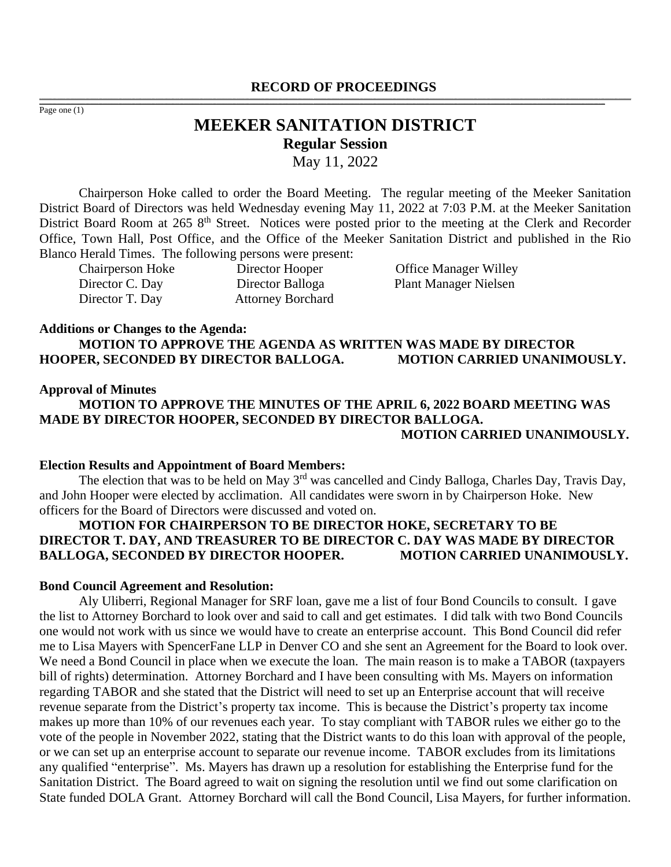#### **RECORD OF PROCEEDINGS** ,一个人都是不能在这里的,我们就是不能在这里的,我们就是我们的,我们就是我们的,我们就是我们的。""我们,我们就是我们的。""我们,我们就是我们的,我们就是我们

Page one (1)

# **MEEKER SANITATION DISTRICT Regular Session** May 11, 2022

,我们也不能会在这里,我们的人们就会不能会在这里,我们也不能会不能会不能会不能会不能会不能会不能会不能会。""我们的人们就会不能会不能会不能会不能会不能会不能会

Chairperson Hoke called to order the Board Meeting. The regular meeting of the Meeker Sanitation District Board of Directors was held Wednesday evening May 11, 2022 at 7:03 P.M. at the Meeker Sanitation District Board Room at 265 8<sup>th</sup> Street. Notices were posted prior to the meeting at the Clerk and Recorder Office, Town Hall, Post Office, and the Office of the Meeker Sanitation District and published in the Rio Blanco Herald Times. The following persons were present:

Director C. Day Director Balloga Plant Manager Nielsen<br>Director T. Day Attorney Borchard Attorney Borchard

Chairperson Hoke Director Hooper Office Manager Willey

#### **Additions or Changes to the Agenda:**

**MOTION TO APPROVE THE AGENDA AS WRITTEN WAS MADE BY DIRECTOR HOOPER, SECONDED BY DIRECTOR BALLOGA. MOTION CARRIED UNANIMOUSLY.**

#### **Approval of Minutes**

**MOTION TO APPROVE THE MINUTES OF THE APRIL 6, 2022 BOARD MEETING WAS MADE BY DIRECTOR HOOPER, SECONDED BY DIRECTOR BALLOGA. MOTION CARRIED UNANIMOUSLY.**

### **Election Results and Appointment of Board Members:**

The election that was to be held on May 3rd was cancelled and Cindy Balloga, Charles Day, Travis Day, and John Hooper were elected by acclimation. All candidates were sworn in by Chairperson Hoke. New officers for the Board of Directors were discussed and voted on.

## **MOTION FOR CHAIRPERSON TO BE DIRECTOR HOKE, SECRETARY TO BE DIRECTOR T. DAY, AND TREASURER TO BE DIRECTOR C. DAY WAS MADE BY DIRECTOR**  BALLOGA, SECONDED BY DIRECTOR HOOPER. MOTION CARRIED UNANIMOUSLY.

#### **Bond Council Agreement and Resolution:**

Aly Uliberri, Regional Manager for SRF loan, gave me a list of four Bond Councils to consult. I gave the list to Attorney Borchard to look over and said to call and get estimates. I did talk with two Bond Councils one would not work with us since we would have to create an enterprise account. This Bond Council did refer me to Lisa Mayers with SpencerFane LLP in Denver CO and she sent an Agreement for the Board to look over. We need a Bond Council in place when we execute the loan. The main reason is to make a TABOR (taxpayers bill of rights) determination. Attorney Borchard and I have been consulting with Ms. Mayers on information regarding TABOR and she stated that the District will need to set up an Enterprise account that will receive revenue separate from the District's property tax income. This is because the District's property tax income makes up more than 10% of our revenues each year. To stay compliant with TABOR rules we either go to the vote of the people in November 2022, stating that the District wants to do this loan with approval of the people, or we can set up an enterprise account to separate our revenue income. TABOR excludes from its limitations any qualified "enterprise". Ms. Mayers has drawn up a resolution for establishing the Enterprise fund for the Sanitation District. The Board agreed to wait on signing the resolution until we find out some clarification on State funded DOLA Grant. Attorney Borchard will call the Bond Council, Lisa Mayers, for further information.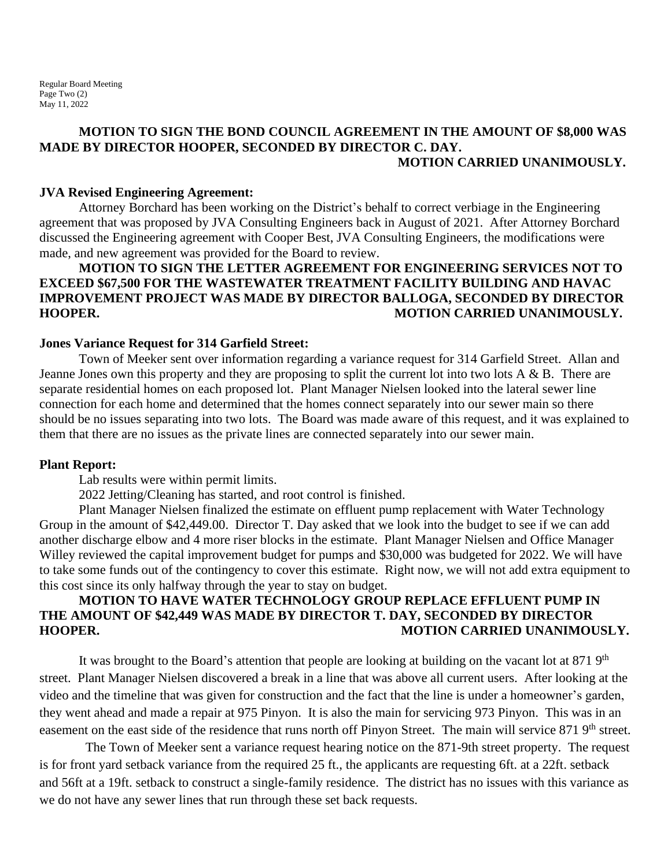### **MOTION TO SIGN THE BOND COUNCIL AGREEMENT IN THE AMOUNT OF \$8,000 WAS MADE BY DIRECTOR HOOPER, SECONDED BY DIRECTOR C. DAY. MOTION CARRIED UNANIMOUSLY.**

### **JVA Revised Engineering Agreement:**

Attorney Borchard has been working on the District's behalf to correct verbiage in the Engineering agreement that was proposed by JVA Consulting Engineers back in August of 2021. After Attorney Borchard discussed the Engineering agreement with Cooper Best, JVA Consulting Engineers, the modifications were made, and new agreement was provided for the Board to review.

## **MOTION TO SIGN THE LETTER AGREEMENT FOR ENGINEERING SERVICES NOT TO EXCEED \$67,500 FOR THE WASTEWATER TREATMENT FACILITY BUILDING AND HAVAC IMPROVEMENT PROJECT WAS MADE BY DIRECTOR BALLOGA, SECONDED BY DIRECTOR HOOPER. MOTION CARRIED UNANIMOUSLY.**

### **Jones Variance Request for 314 Garfield Street:**

Town of Meeker sent over information regarding a variance request for 314 Garfield Street. Allan and Jeanne Jones own this property and they are proposing to split the current lot into two lots A & B. There are separate residential homes on each proposed lot. Plant Manager Nielsen looked into the lateral sewer line connection for each home and determined that the homes connect separately into our sewer main so there should be no issues separating into two lots. The Board was made aware of this request, and it was explained to them that there are no issues as the private lines are connected separately into our sewer main.

### **Plant Report:**

Lab results were within permit limits.

2022 Jetting/Cleaning has started, and root control is finished.

Plant Manager Nielsen finalized the estimate on effluent pump replacement with Water Technology Group in the amount of \$42,449.00. Director T. Day asked that we look into the budget to see if we can add another discharge elbow and 4 more riser blocks in the estimate. Plant Manager Nielsen and Office Manager Willey reviewed the capital improvement budget for pumps and \$30,000 was budgeted for 2022. We will have to take some funds out of the contingency to cover this estimate. Right now, we will not add extra equipment to this cost since its only halfway through the year to stay on budget.

### **MOTION TO HAVE WATER TECHNOLOGY GROUP REPLACE EFFLUENT PUMP IN THE AMOUNT OF \$42,449 WAS MADE BY DIRECTOR T. DAY, SECONDED BY DIRECTOR HOOPER. MOTION CARRIED UNANIMOUSLY.**

It was brought to the Board's attention that people are looking at building on the vacant lot at 871 9<sup>th</sup> street. Plant Manager Nielsen discovered a break in a line that was above all current users. After looking at the video and the timeline that was given for construction and the fact that the line is under a homeowner's garden, they went ahead and made a repair at 975 Pinyon. It is also the main for servicing 973 Pinyon. This was in an easement on the east side of the residence that runs north off Pinyon Street. The main will service 871 9<sup>th</sup> street.

 The Town of Meeker sent a variance request hearing notice on the 871-9th street property. The request is for front yard setback variance from the required 25 ft., the applicants are requesting 6ft. at a 22ft. setback and 56ft at a 19ft. setback to construct a single-family residence. The district has no issues with this variance as we do not have any sewer lines that run through these set back requests.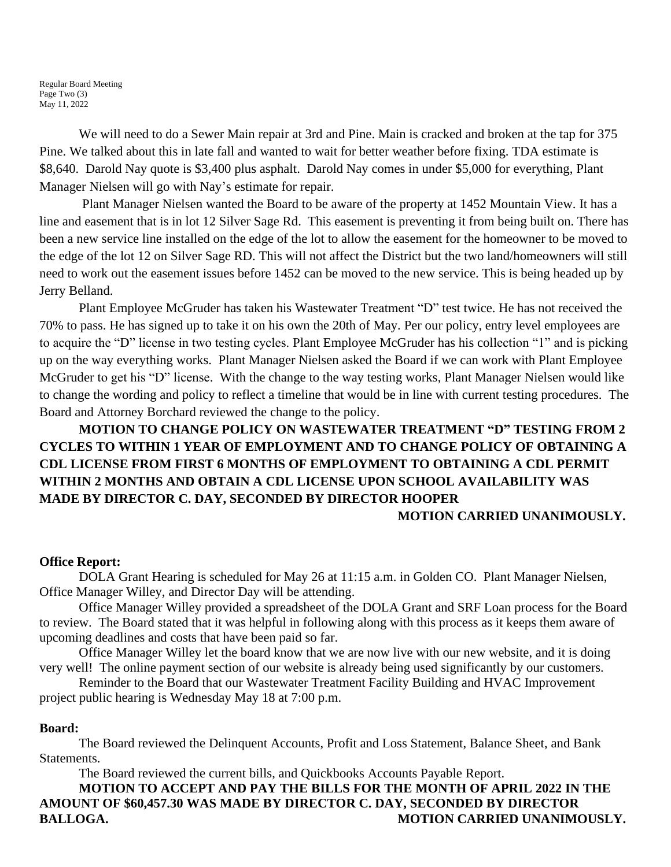Regular Board Meeting Page Two (3) May 11, 2022

We will need to do a Sewer Main repair at 3rd and Pine. Main is cracked and broken at the tap for 375 Pine. We talked about this in late fall and wanted to wait for better weather before fixing. TDA estimate is \$8,640. Darold Nay quote is \$3,400 plus asphalt. Darold Nay comes in under \$5,000 for everything, Plant Manager Nielsen will go with Nay's estimate for repair.

Plant Manager Nielsen wanted the Board to be aware of the property at 1452 Mountain View. It has a line and easement that is in lot 12 Silver Sage Rd. This easement is preventing it from being built on. There has been a new service line installed on the edge of the lot to allow the easement for the homeowner to be moved to the edge of the lot 12 on Silver Sage RD. This will not affect the District but the two land/homeowners will still need to work out the easement issues before 1452 can be moved to the new service. This is being headed up by Jerry Belland.

Plant Employee McGruder has taken his Wastewater Treatment "D" test twice. He has not received the 70% to pass. He has signed up to take it on his own the 20th of May. Per our policy, entry level employees are to acquire the "D" license in two testing cycles. Plant Employee McGruder has his collection "1" and is picking up on the way everything works. Plant Manager Nielsen asked the Board if we can work with Plant Employee McGruder to get his "D" license. With the change to the way testing works, Plant Manager Nielsen would like to change the wording and policy to reflect a timeline that would be in line with current testing procedures. The Board and Attorney Borchard reviewed the change to the policy.

# **MOTION TO CHANGE POLICY ON WASTEWATER TREATMENT "D" TESTING FROM 2 CYCLES TO WITHIN 1 YEAR OF EMPLOYMENT AND TO CHANGE POLICY OF OBTAINING A CDL LICENSE FROM FIRST 6 MONTHS OF EMPLOYMENT TO OBTAINING A CDL PERMIT WITHIN 2 MONTHS AND OBTAIN A CDL LICENSE UPON SCHOOL AVAILABILITY WAS MADE BY DIRECTOR C. DAY, SECONDED BY DIRECTOR HOOPER**

### **MOTION CARRIED UNANIMOUSLY.**

### **Office Report:**

DOLA Grant Hearing is scheduled for May 26 at 11:15 a.m. in Golden CO. Plant Manager Nielsen, Office Manager Willey, and Director Day will be attending.

Office Manager Willey provided a spreadsheet of the DOLA Grant and SRF Loan process for the Board to review. The Board stated that it was helpful in following along with this process as it keeps them aware of upcoming deadlines and costs that have been paid so far.

Office Manager Willey let the board know that we are now live with our new website, and it is doing very well! The online payment section of our website is already being used significantly by our customers.

Reminder to the Board that our Wastewater Treatment Facility Building and HVAC Improvement project public hearing is Wednesday May 18 at 7:00 p.m.

### **Board:**

The Board reviewed the Delinquent Accounts, Profit and Loss Statement, Balance Sheet, and Bank Statements.

The Board reviewed the current bills, and Quickbooks Accounts Payable Report. **MOTION TO ACCEPT AND PAY THE BILLS FOR THE MONTH OF APRIL 2022 IN THE AMOUNT OF \$60,457.30 WAS MADE BY DIRECTOR C. DAY, SECONDED BY DIRECTOR BALLOGA.** MOTION CARRIED UNANIMOUSLY.